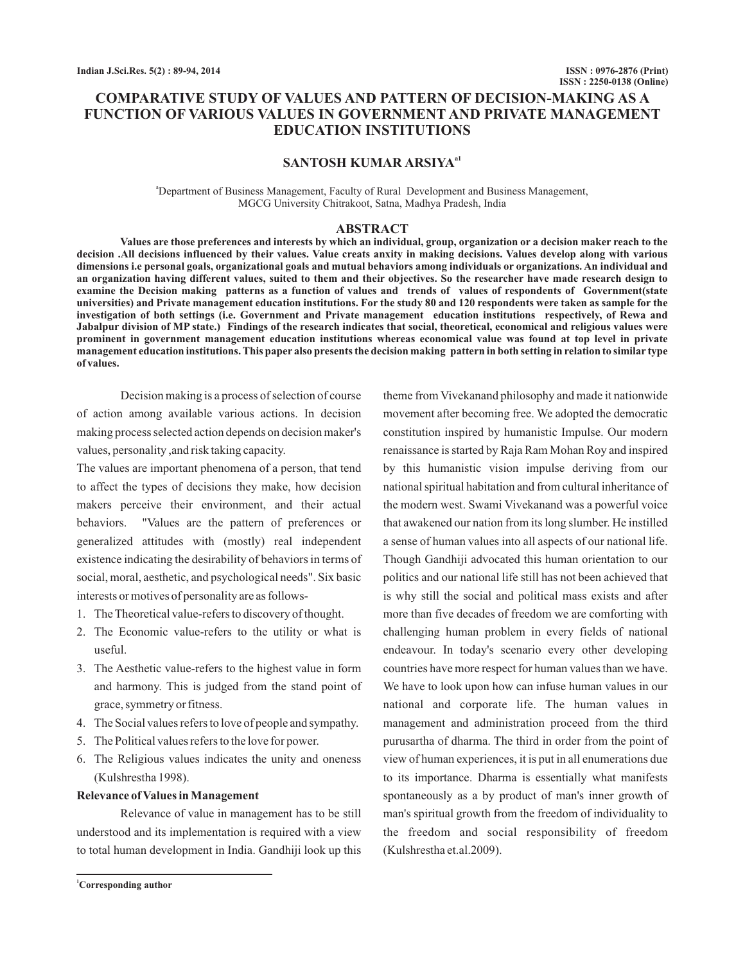# **COMPARATIVE STUDY OF VALUES AND PATTERN OF DECISION-MAKING AS A FUNCTION OF VARIOUS VALUES IN GOVERNMENT AND PRIVATE MANAGEMENT EDUCATION INSTITUTIONS**

## **SANTOSH KUMAR ARSIYAa1**

<sup>a</sup>Department of Business Management, Faculty of Rural Development and Business Management, MGCG University Chitrakoot, Satna, Madhya Pradesh, India

## **ABSTRACT**

**Values are those preferences and interests by which an individual, group, organization or a decision maker reach to the decision .All decisions influenced by their values. Value creats anxity in making decisions. Values develop along with various dimensions i.e personal goals, organizational goals and mutual behaviors among individuals or organizations. An individual and an organization having different values, suited to them and their objectives. So the researcher have made research design to examine the Decision making patterns as a function of values and trends of values of respondents of Government(state universities) and Private management education institutions. For the study 80 and 120 respondents were taken as sample for the investigation of both settings (i.e. Government and Private management education institutions respectively, of Rewa and Jabalpur division of MP state.) Findings of the research indicates that social, theoretical, economical and religious values were prominent in government management education institutions whereas economical value was found at top level in private management education institutions. This paper also presents the decision making pattern in both setting in relation to similar type of values.**

Decision making is a process of selection of course of action among available various actions. In decision making process selected action depends on decision maker's values, personality ,and risk taking capacity.

The values are important phenomena of a person, that tend to affect the types of decisions they make, how decision makers perceive their environment, and their actual behaviors. "Values are the pattern of preferences or generalized attitudes with (mostly) real independent existence indicating the desirability of behaviors in terms of social, moral, aesthetic, and psychological needs". Six basic interests or motives of personality are as follows-

- 1. The Theoretical value-refers to discovery of thought.
- 2. The Economic value-refers to the utility or what is useful.
- 3. The Aesthetic value-refers to the highest value in form and harmony. This is judged from the stand point of grace, symmetry or fitness.
- 4. The Social values refers to love of people and sympathy.
- 5. The Political values refers to the love for power.
- 6. The Religious values indicates the unity and oneness (Kulshrestha 1998).

#### **Relevance of Values in Management**

Relevance of value in management has to be still understood and its implementation is required with a view to total human development in India. Gandhiji look up this

**<sup>1</sup>Corresponding author**

theme from Vivekanand philosophy and made it nationwide movement after becoming free. We adopted the democratic constitution inspired by humanistic Impulse. Our modern renaissance is started by Raja Ram Mohan Roy and inspired by this humanistic vision impulse deriving from our national spiritual habitation and from cultural inheritance of the modern west. Swami Vivekanand was a powerful voice that awakened our nation from its long slumber. He instilled a sense of human values into all aspects of our national life. Though Gandhiji advocated this human orientation to our politics and our national life still has not been achieved that is why still the social and political mass exists and after more than five decades of freedom we are comforting with challenging human problem in every fields of national endeavour. In today's scenario every other developing countries have more respect for human values than we have. We have to look upon how can infuse human values in our national and corporate life. The human values in management and administration proceed from the third purusartha of dharma. The third in order from the point of view of human experiences, it is put in all enumerations due to its importance. Dharma is essentially what manifests spontaneously as a by product of man's inner growth of man's spiritual growth from the freedom of individuality to the freedom and social responsibility of freedom (Kulshrestha et.al.2009).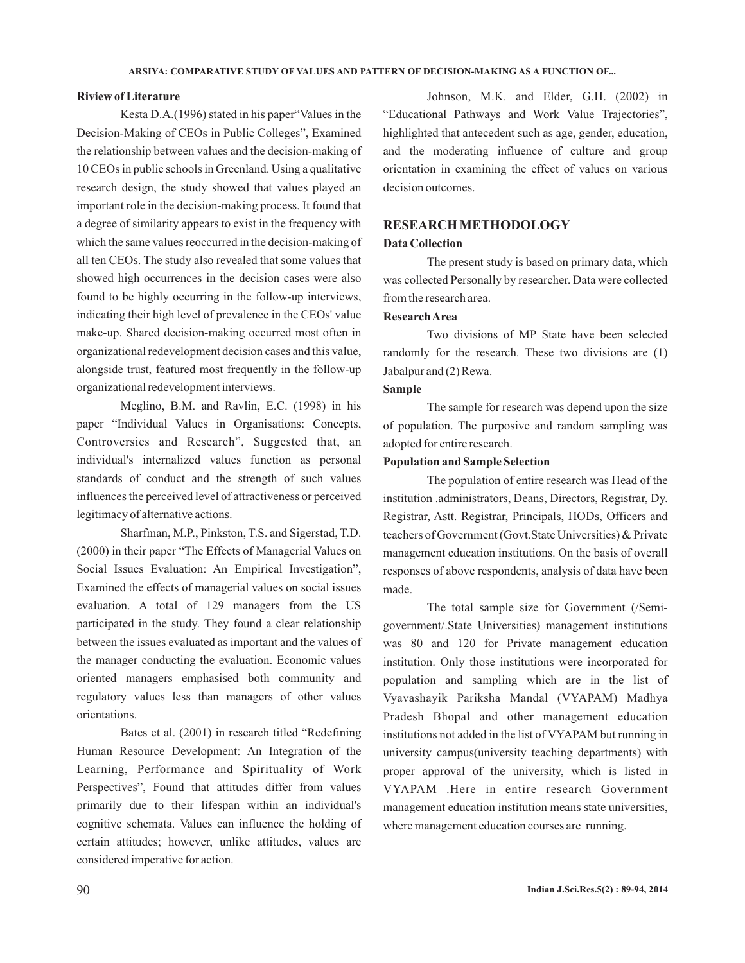#### **Riview of Literature**

Kesta D.A.(1996) stated in his paper"Values in the Decision-Making of CEOs in Public Colleges", Examined the relationship between values and the decision-making of 10 CEOs in public schools in Greenland. Using a qualitative research design, the study showed that values played an important role in the decision-making process. It found that a degree of similarity appears to exist in the frequency with which the same values reoccurred in the decision-making of all ten CEOs. The study also revealed that some values that showed high occurrences in the decision cases were also found to be highly occurring in the follow-up interviews, indicating their high level of prevalence in the CEOs' value make-up. Shared decision-making occurred most often in organizational redevelopment decision cases and this value, alongside trust, featured most frequently in the follow-up organizational redevelopment interviews.

Meglino, B.M. and Ravlin, E.C. (1998) in his paper "Individual Values in Organisations: Concepts, Controversies and Research", Suggested that, an individual's internalized values function as personal standards of conduct and the strength of such values influences the perceived level of attractiveness or perceived legitimacy of alternative actions.

Sharfman, M.P., Pinkston, T.S. and Sigerstad, T.D. (2000) in their paper "The Effects of Managerial Values on Social Issues Evaluation: An Empirical Investigation", Examined the effects of managerial values on social issues evaluation. A total of 129 managers from the US participated in the study. They found a clear relationship between the issues evaluated as important and the values of the manager conducting the evaluation. Economic values oriented managers emphasised both community and regulatory values less than managers of other values orientations.

Bates et al. (2001) in research titled "Redefining Human Resource Development: An Integration of the Learning, Performance and Spirituality of Work Perspectives", Found that attitudes differ from values primarily due to their lifespan within an individual's cognitive schemata. Values can influence the holding of certain attitudes; however, unlike attitudes, values are considered imperative for action.

Johnson, M.K. and Elder, G.H. (2002) in "Educational Pathways and Work Value Trajectories", highlighted that antecedent such as age, gender, education, and the moderating influence of culture and group orientation in examining the effect of values on various decision outcomes.

## **RESEARCH METHODOLOGY**

#### **Data Collection**

The present study is based on primary data, which was collected Personally by researcher. Data were collected from the research area.

### **ResearchArea**

Two divisions of MP State have been selected randomly for the research. These two divisions are (1) Jabalpur and (2) Rewa.

## **Sample**

The sample for research was depend upon the size of population. The purposive and random sampling was adopted for entire research.

#### **Population and Sample Selection**

The population of entire research was Head of the institution .administrators, Deans, Directors, Registrar, Dy. Registrar, Astt. Registrar, Principals, HODs, Officers and teachers of Government (Govt.State Universities) & Private management education institutions. On the basis of overall responses of above respondents, analysis of data have been made.

The total sample size for Government (/Semigovernment/.State Universities) management institutions was 80 and 120 for Private management education institution. Only those institutions were incorporated for population and sampling which are in the list of Vyavashayik Pariksha Mandal (VYAPAM) Madhya Pradesh Bhopal and other management education institutions not added in the list of VYAPAM but running in university campus(university teaching departments) with proper approval of the university, which is listed in VYAPAM .Here in entire research Government management education institution means state universities, where management education courses are running.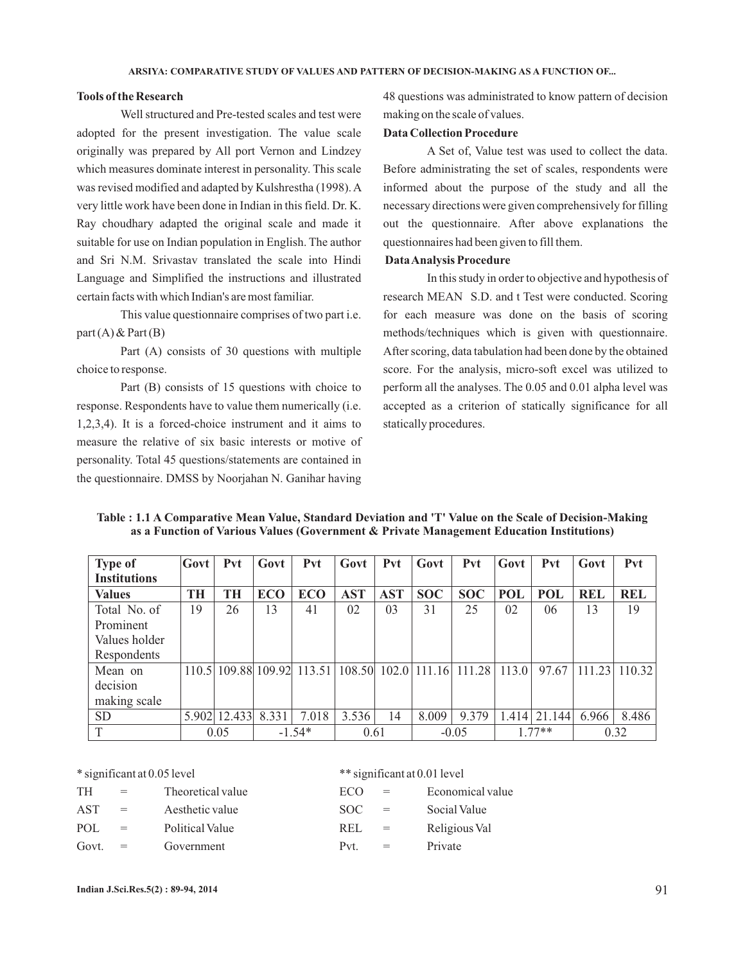#### **Tools of the Research**

Well structured and Pre-tested scales and test were adopted for the present investigation. The value scale originally was prepared by All port Vernon and Lindzey which measures dominate interest in personality. This scale was revised modified and adapted by Kulshrestha (1998). A very little work have been done in Indian in this field. Dr. K. Ray choudhary adapted the original scale and made it suitable for use on Indian population in English. The author and Sri N.M. Srivastav translated the scale into Hindi Language and Simplified the instructions and illustrated certain facts with which Indian's are most familiar.

This value questionnaire comprises of two part i.e.  $part(A)$  & Part  $(B)$ 

Part (A) consists of 30 questions with multiple choice to response.

Part (B) consists of 15 questions with choice to response. Respondents have to value them numerically (i.e. 1,2,3,4). It is a forced-choice instrument and it aims to measure the relative of six basic interests or motive of personality. Total 45 questions/statements are contained in the questionnaire. DMSS by Noorjahan N. Ganihar having

48 questions was administrated to know pattern of decision making on the scale of values.

## **Data Collection Procedure**

A Set of, Value test was used to collect the data. Before administrating the set of scales, respondents were informed about the purpose of the study and all the necessary directions were given comprehensively for filling out the questionnaire. After above explanations the questionnaires had been given to fill them.

## **DataAnalysis Procedure**

In this study in order to objective and hypothesis of research MEAN S.D. and t Test were conducted. Scoring for each measure was done on the basis of scoring methods/techniques which is given with questionnaire. After scoring, data tabulation had been done by the obtained score. For the analysis, micro-soft excel was utilized to perform all the analyses. The 0.05 and 0.01 alpha level was accepted as a criterion of statically significance for all statically procedures.

| Table : 1.1 A Comparative Mean Value, Standard Deviation and 'T' Value on the Scale of Decision-Making |  |
|--------------------------------------------------------------------------------------------------------|--|
| as a Function of Various Values (Government & Private Management Education Institutions)               |  |

| <b>Type of</b>      | Govt      | Pvt    | Govt       | Pvt                        | Govt       | <b>Pvt</b> | Govt             | Pvt        | Govt       | Pvt        | Govt       | Pvt        |
|---------------------|-----------|--------|------------|----------------------------|------------|------------|------------------|------------|------------|------------|------------|------------|
| <b>Institutions</b> |           |        |            |                            |            |            |                  |            |            |            |            |            |
| <b>Values</b>       | <b>TH</b> | TH     | <b>ECO</b> | <b>ECO</b>                 | <b>AST</b> | <b>AST</b> | <b>SOC</b>       | <b>SOC</b> | <b>POL</b> | <b>POL</b> | <b>REL</b> | <b>REL</b> |
| Total No. of        | 19        | 26     | 13         | 41                         | 02         | 03         | 31               | 25         | 02         | 06         | 13         | 19         |
| Prominent           |           |        |            |                            |            |            |                  |            |            |            |            |            |
| Values holder       |           |        |            |                            |            |            |                  |            |            |            |            |            |
| Respondents         |           |        |            |                            |            |            |                  |            |            |            |            |            |
| Mean on             |           |        |            | 110.5 109.88 109.92 113.51 | 108.50     |            | $102.0$   111.16 | 111.28     | 113.0      | 97.67      | 111.23     | 110.32     |
| decision            |           |        |            |                            |            |            |                  |            |            |            |            |            |
| making scale        |           |        |            |                            |            |            |                  |            |            |            |            |            |
| <b>SD</b>           | 5.902     | 12.433 | 8.331      | 7.018                      | 3.536      | 14         | 8.009            | 9.379      | 1.414      | 21.144     | 6.966      | 8.486      |
| T                   |           | 0.05   |            | $-1.54*$                   | 0.61       |            |                  | $-0.05$    |            | $177**$    |            | 0.32       |

\* significant at 0.05 level \*\* significant at 0.01 level

| TH       | $=$                       | Theoretical value | ECO.       | $\alpha = 1$              | Economical value |
|----------|---------------------------|-------------------|------------|---------------------------|------------------|
| AST      | $\mathbf{r} = \mathbf{r}$ | Aesthetic value   | SOC.       | $\mathbf{r} = \mathbf{r}$ | Social Value     |
| POL      | $\mathbf{r} = \mathbf{r}$ | Political Value   | REL.       | $\alpha = 1$              | Religious Val    |
| $Govt =$ |                           | Govermment        | $p_{\tau}$ |                           | Private          |

| TH    | $=$ | Theoretical value | ECO        | $=$ | Economical val |
|-------|-----|-------------------|------------|-----|----------------|
| AST   | $=$ | Aesthetic value   | SOC.       | $=$ | Social Value   |
| POL.  | $=$ | Political Value   | <b>REL</b> | $=$ | Religious Val  |
| Govt. | $=$ | Government        | Pvt        | $=$ | Private        |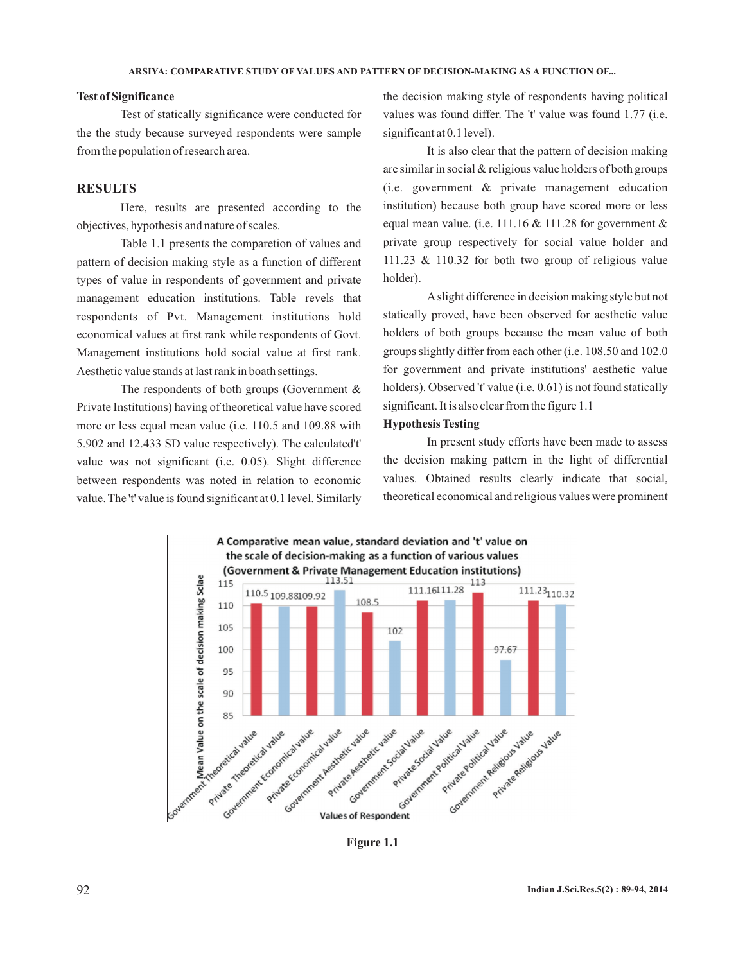#### **Test of Significance**

Test of statically significance were conducted for the the study because surveyed respondents were sample from the population of research area.

## **RESULTS**

Here, results are presented according to the objectives, hypothesis and nature of scales.

Table 1.1 presents the comparetion of values and pattern of decision making style as a function of different types of value in respondents of government and private management education institutions. Table revels that respondents of Pvt. Management institutions hold economical values at first rank while respondents of Govt. Management institutions hold social value at first rank. Aesthetic value stands at last rank in boath settings.

The respondents of both groups (Government  $\&$ Private Institutions) having of theoretical value have scored more or less equal mean value (i.e. 110.5 and 109.88 with 5.902 and 12.433 SD value respectively). The calculated't' value was not significant (i.e. 0.05). Slight difference between respondents was noted in relation to economic value. The 't' value is found significant at 0.1 level. Similarly the decision making style of respondents having political values was found differ. The 't' value was found 1.77 (i.e. significant at 0.1 level).

It is also clear that the pattern of decision making are similar in social & religious value holders of both groups (i.e. government & private management education institution) because both group have scored more or less equal mean value. (i.e. 111.16  $&$  111.28 for government  $&$ private group respectively for social value holder and 111.23 & 110.32 for both two group of religious value holder).

Aslight difference in decision making style but not statically proved, have been observed for aesthetic value holders of both groups because the mean value of both groups slightly differ from each other (i.e. 108.50 and 102.0 for government and private institutions' aesthetic value holders). Observed 't' value (i.e. 0.61) is not found statically significant. It is also clear from the figure 1.1

## **Hypothesis Testing**

In present study efforts have been made to assess the decision making pattern in the light of differential values. Obtained results clearly indicate that social, theoretical economical and religious values were prominent



**Figure 1.1**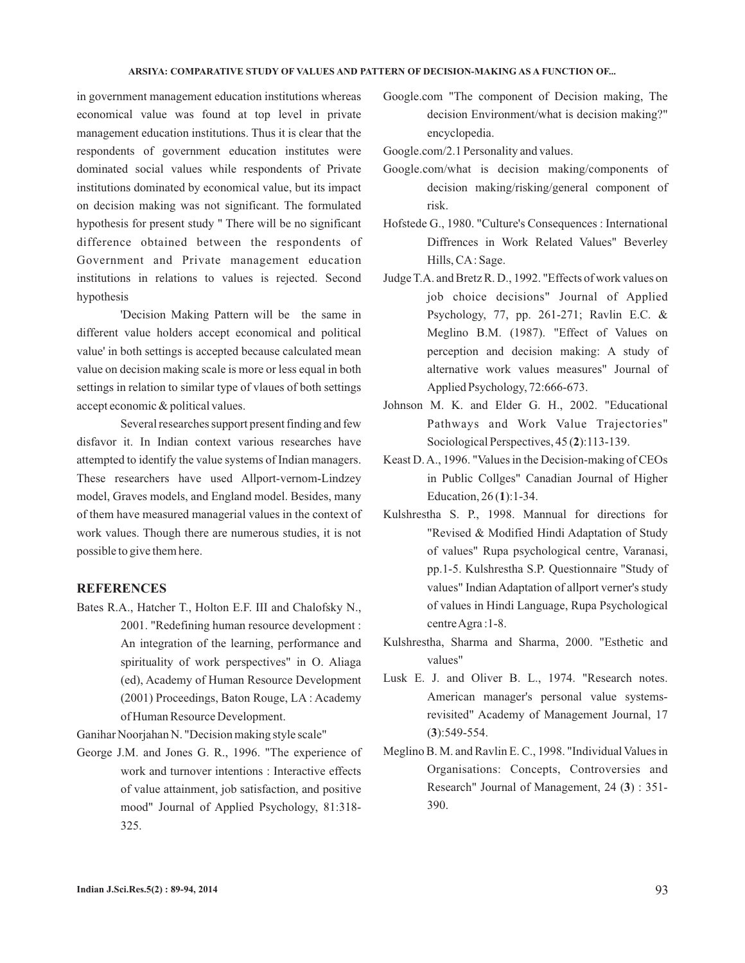#### **ARSIYA: COMPARATIVE STUDY OF VALUES AND PATTERN OF DECISION-MAKING AS A FUNCTION OF...**

in government management education institutions whereas economical value was found at top level in private management education institutions. Thus it is clear that the respondents of government education institutes were dominated social values while respondents of Private institutions dominated by economical value, but its impact on decision making was not significant. The formulated hypothesis for present study " There will be no significant difference obtained between the respondents of Government and Private management education institutions in relations to values is rejected. Second hypothesis

'Decision Making Pattern will be the same in different value holders accept economical and political value' in both settings is accepted because calculated mean value on decision making scale is more or less equal in both settings in relation to similar type of vlaues of both settings accept economic & political values.

Several researches support present finding and few disfavor it. In Indian context various researches have attempted to identify the value systems of Indian managers. These researchers have used Allport-vernom-Lindzey model, Graves models, and England model. Besides, many of them have measured managerial values in the context of work values. Though there are numerous studies, it is not possible to give them here.

## **REFERENCES**

Bates R.A., Hatcher T., Holton E.F. III and Chalofsky N., 2001. "Redefining human resource development : An integration of the learning, performance and spirituality of work perspectives" in O. Aliaga (ed), Academy of Human Resource Development (2001) Proceedings, Baton Rouge, LA : Academy of Human Resource Development.

Ganihar Noorjahan N. "Decision making style scale"

George J.M. and Jones G. R., 1996. "The experience of work and turnover intentions : Interactive effects of value attainment, job satisfaction, and positive mood" Journal of Applied Psychology, 81:318- 325.

Google.com "The component of Decision making, The decision Environment/what is decision making?" encyclopedia.

Google.com/2.1 Personality and values.

- Google.com/what is decision making/components of decision making/risking/general component of risk.
- Hofstede G., 1980. "Culture's Consequences : International Diffrences in Work Related Values" Beverley Hills, CA: Sage.
- Judge T.A. and Bretz R. D., 1992. "Effects of work values on job choice decisions" Journal of Applied Psychology, 77, pp. 261-271; Ravlin E.C. & Meglino B.M. (1987). "Effect of Values on perception and decision making: A study of alternative work values measures" Journal of Applied Psychology, 72:666-673.
- Johnson M. K. and Elder G. H., 2002. "Educational Pathways and Work Value Trajectories" Sociological Perspectives, 45 (2):113-139.
- Keast D.A., 1996. "Values in the Decision-making of CEOs in Public Collges" Canadian Journal of Higher Education, 26(1):1-34.
- Kulshrestha S. P., 1998. Mannual for directions for "Revised & Modified Hindi Adaptation of Study of values" Rupa psychological centre, Varanasi, pp.1-5. Kulshrestha S.P. Questionnaire "Study of values" Indian Adaptation of allport verner's study of values in Hindi Language, Rupa Psychological centreAgra :1-8.
- Kulshrestha, Sharma and Sharma, 2000. "Esthetic and values"
- Lusk E. J. and Oliver B. L., 1974. "Research notes. American manager's personal value systemsrevisited" Academy of Management Journal, 17  $(3):549-554.$
- Meglino B. M. and Ravlin E. C., 1998. "Individual Values in Organisations: Concepts, Controversies and Research" Journal of Management, 24 (3): 351-390.